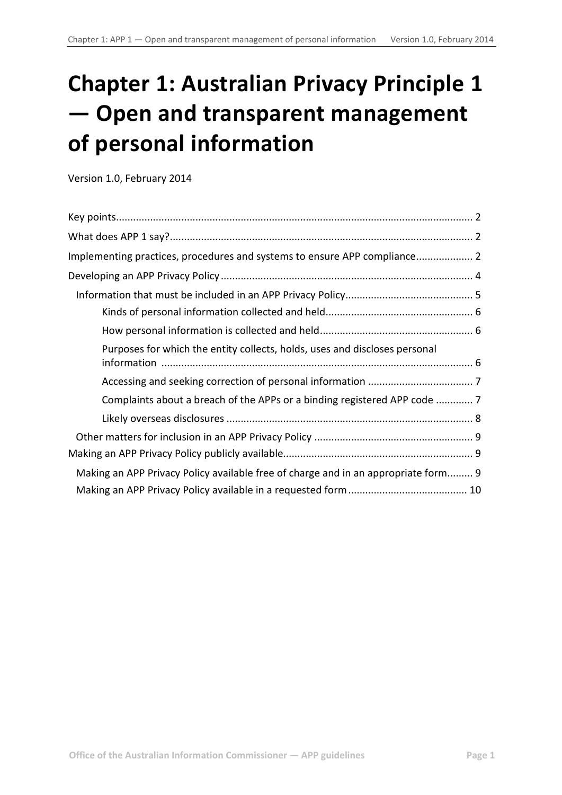# **Chapter 1: Australian Privacy Principle 1 — Open and transparent management of personal information**

Version 1.0, February 2014

| Implementing practices, procedures and systems to ensure APP compliance 2          |  |
|------------------------------------------------------------------------------------|--|
|                                                                                    |  |
|                                                                                    |  |
|                                                                                    |  |
|                                                                                    |  |
| Purposes for which the entity collects, holds, uses and discloses personal         |  |
|                                                                                    |  |
| Complaints about a breach of the APPs or a binding registered APP code  7          |  |
|                                                                                    |  |
|                                                                                    |  |
|                                                                                    |  |
| Making an APP Privacy Policy available free of charge and in an appropriate form 9 |  |
|                                                                                    |  |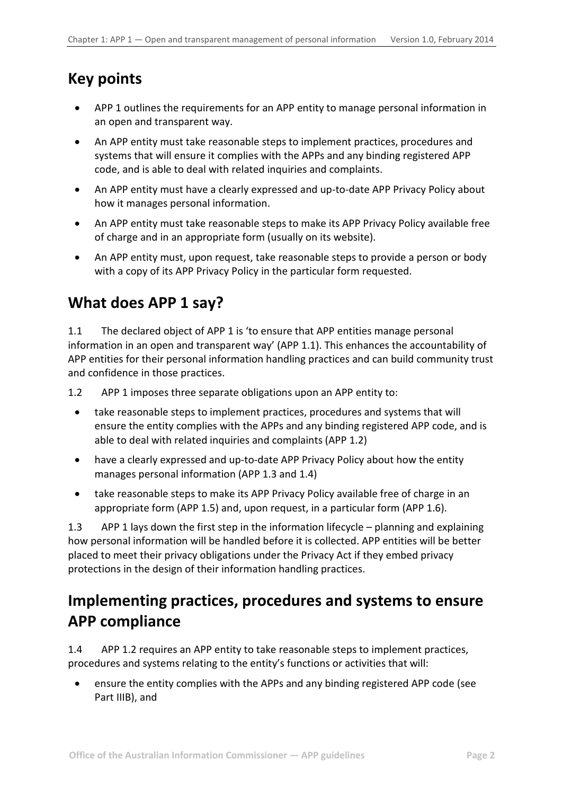## <span id="page-1-0"></span>**Key points**

- APP 1 outlines the requirements for an APP entity to manage personal information in an open and transparent way.
- An APP entity must take reasonable steps to implement practices, procedures and systems that will ensure it complies with the APPs and any binding registered APP code, and is able to deal with related inquiries and complaints.
- An APP entity must have a clearly expressed and up-to-date APP Privacy Policy about how it manages personal information.
- An APP entity must take reasonable steps to make its APP Privacy Policy available free of charge and in an appropriate form (usually on its website).
- An APP entity must, upon request, take reasonable steps to provide a person or body with a copy of its APP Privacy Policy in the particular form requested.

# <span id="page-1-1"></span>**What does APP 1 say?**

1.1 The declared object of APP 1 is 'to ensure that APP entities manage personal information in an open and transparent way' (APP 1.1). This enhances the accountability of APP entities for their personal information handling practices and can build community trust and confidence in those practices.

1.2 APP 1 imposes three separate obligations upon an APP entity to:

- take reasonable steps to implement practices, procedures and systems that will ensure the entity complies with the APPs and any binding registered APP code, and is able to deal with related inquiries and complaints (APP 1.2)
- have a clearly expressed and up-to-date APP Privacy Policy about how the entity manages personal information (APP 1.3 and 1.4)
- take reasonable steps to make its APP Privacy Policy available free of charge in an appropriate form (APP 1.5) and, upon request, in a particular form (APP 1.6).

1.3 APP 1 lays down the first step in the information lifecycle – planning and explaining how personal information will be handled before it is collected. APP entities will be better placed to meet their privacy obligations under the Privacy Act if they embed privacy protections in the design of their information handling practices.

## <span id="page-1-2"></span>**Implementing practices, procedures and systems to ensure APP compliance**

1.4 APP 1.2 requires an APP entity to take reasonable steps to implement practices, procedures and systems relating to the entity's functions or activities that will:

• ensure the entity complies with the APPs and any binding registered APP code (see Part IIIB), and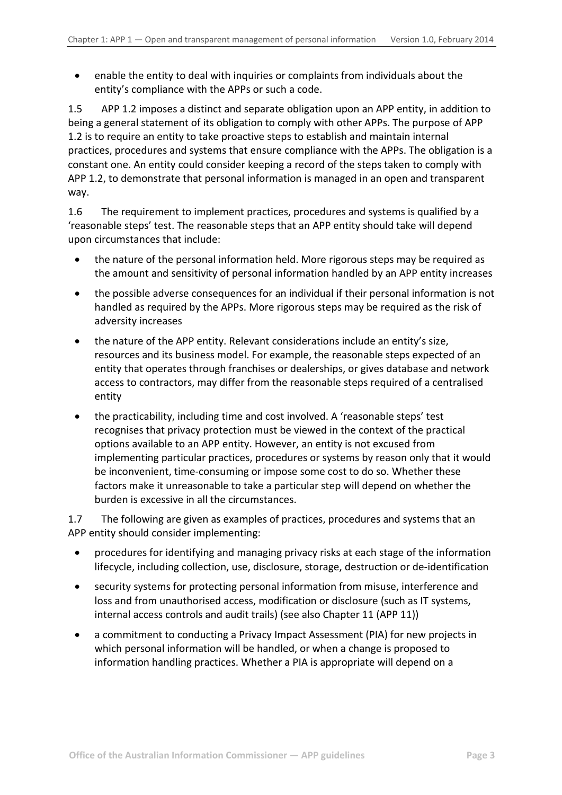• enable the entity to deal with inquiries or complaints from individuals about the entity's compliance with the APPs or such a code.

1.5 APP 1.2 imposes a distinct and separate obligation upon an APP entity, in addition to being a general statement of its obligation to comply with other APPs. The purpose of APP 1.2 is to require an entity to take proactive steps to establish and maintain internal practices, procedures and systems that ensure compliance with the APPs. The obligation is a constant one. An entity could consider keeping a record of the steps taken to comply with APP 1.2, to demonstrate that personal information is managed in an open and transparent way.

1.6 The requirement to implement practices, procedures and systems is qualified by a 'reasonable steps' test. The reasonable steps that an APP entity should take will depend upon circumstances that include:

- the nature of the personal information held. More rigorous steps may be required as the amount and sensitivity of personal information handled by an APP entity increases
- the possible adverse consequences for an individual if their personal information is not handled as required by the APPs. More rigorous steps may be required as the risk of adversity increases
- the nature of the APP entity. Relevant considerations include an entity's size, resources and its business model. For example, the reasonable steps expected of an entity that operates through franchises or dealerships, or gives database and network access to contractors, may differ from the reasonable steps required of a centralised entity
- the practicability, including time and cost involved. A 'reasonable steps' test recognises that privacy protection must be viewed in the context of the practical options available to an APP entity. However, an entity is not excused from implementing particular practices, procedures or systems by reason only that it would be inconvenient, time-consuming or impose some cost to do so. Whether these factors make it unreasonable to take a particular step will depend on whether the burden is excessive in all the circumstances.

1.7 The following are given as examples of practices, procedures and systems that an APP entity should consider implementing:

- procedures for identifying and managing privacy risks at each stage of the information lifecycle, including collection, use, disclosure, storage, destruction or de-identification
- security systems for protecting personal information from misuse, interference and loss and from unauthorised access, modification or disclosure (such as IT systems, internal access controls and audit trails) (see also Chapter 11 (APP 11))
- a commitment to conducting a Privacy Impact Assessment (PIA) for new projects in which personal information will be handled, or when a change is proposed to information handling practices. Whether a PIA is appropriate will depend on a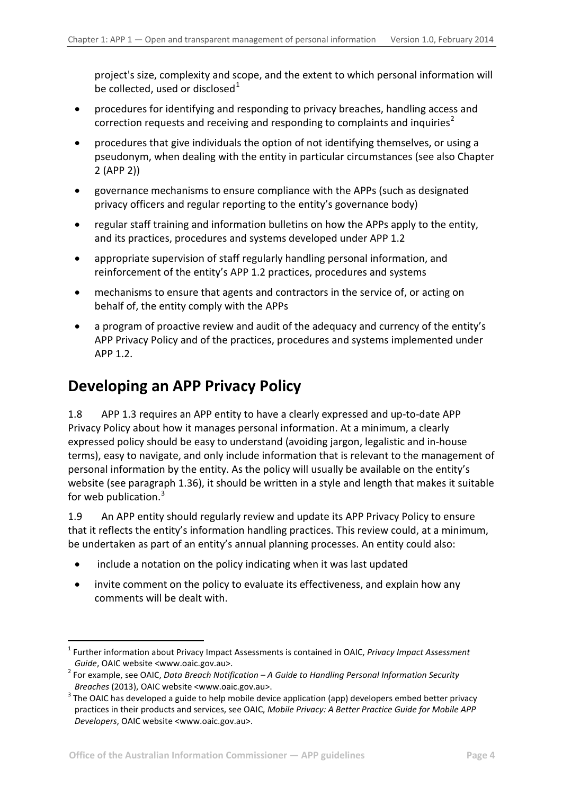project's size, complexity and scope, and the extent to which personal information will be collected, used or disclosed $1$ 

- procedures for identifying and responding to privacy breaches, handling access and correction requests and receiving and responding to complaints and inquiries<sup>[2](#page-3-1)</sup>
- procedures that give individuals the option of not identifying themselves, or using a pseudonym, when dealing with the entity in particular circumstances (see also Chapter 2 (APP 2))
- governance mechanisms to ensure compliance with the APPs (such as designated privacy officers and regular reporting to the entity's governance body)
- regular staff training and information bulletins on how the APPs apply to the entity, and its practices, procedures and systems developed under APP 1.2
- appropriate supervision of staff regularly handling personal information, and reinforcement of the entity's APP 1.2 practices, procedures and systems
- mechanisms to ensure that agents and contractors in the service of, or acting on behalf of, the entity comply with the APPs
- a program of proactive review and audit of the adequacy and currency of the entity's APP Privacy Policy and of the practices, procedures and systems implemented under APP 1.2.

### <span id="page-3-0"></span>**Developing an APP Privacy Policy**

-

1.8 APP 1.3 requires an APP entity to have a clearly expressed and up-to-date APP Privacy Policy about how it manages personal information. At a minimum, a clearly expressed policy should be easy to understand (avoiding jargon, legalistic and in-house terms), easy to navigate, and only include information that is relevant to the management of personal information by the entity. As the policy will usually be available on the entity's website (see paragraph [1.36\)](#page-8-3), it should be written in a style and length that makes it suitable for web publication. $3$ 

1.9 An APP entity should regularly review and update its APP Privacy Policy to ensure that it reflects the entity's information handling practices. This review could, at a minimum, be undertaken as part of an entity's annual planning processes. An entity could also:

- include a notation on the policy indicating when it was last updated
- invite comment on the policy to evaluate its effectiveness, and explain how any comments will be dealt with.

<sup>1</sup> Further information about Privacy Impact Assessments is contained in OAIC, *Privacy Impact Assessment* 

<span id="page-3-1"></span>*Guide*, OAIC website <www.oaic.gov.au>.<br><sup>2</sup> For example, see OAIC, *Data Breach Notification* – A *Guide to Handling Personal Information Security Breaches* (2013), OAIC website <www.oaic.gov.au>.

<span id="page-3-3"></span><span id="page-3-2"></span><sup>&</sup>lt;sup>3</sup> The OAIC has developed a guide to help mobile device application (app) developers embed better privacy practices in their products and services, see OAIC, *Mobile Privacy: A Better Practice Guide for Mobile APP Developers*, OAIC website <www.oaic.gov.au>.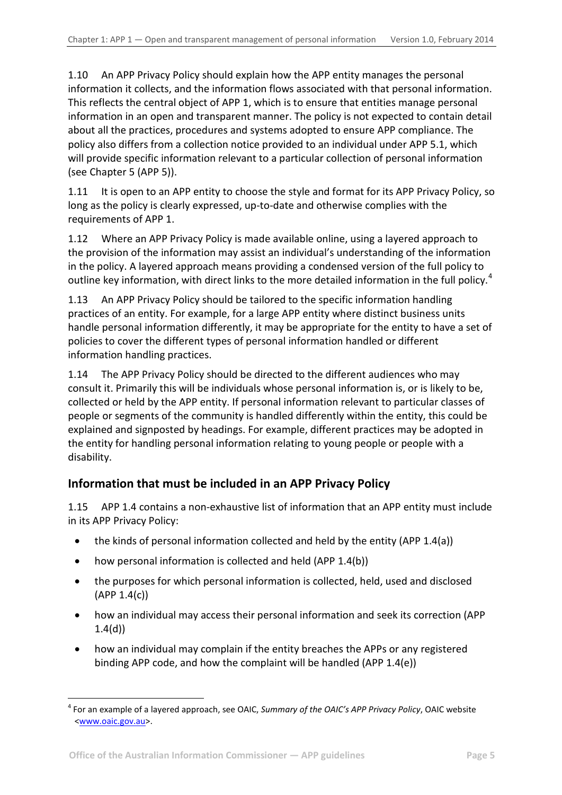1.10 An APP Privacy Policy should explain how the APP entity manages the personal information it collects, and the information flows associated with that personal information. This reflects the central object of APP 1, which is to ensure that entities manage personal information in an open and transparent manner. The policy is not expected to contain detail about all the practices, procedures and systems adopted to ensure APP compliance. The policy also differs from a collection notice provided to an individual under APP 5.1, which will provide specific information relevant to a particular collection of personal information (see Chapter 5 (APP 5)).

1.11 It is open to an APP entity to choose the style and format for its APP Privacy Policy, so long as the policy is clearly expressed, up-to-date and otherwise complies with the requirements of APP 1.

<span id="page-4-2"></span>1.12 Where an APP Privacy Policy is made available online, using a layered approach to the provision of the information may assist an individual's understanding of the information in the policy. A layered approach means providing a condensed version of the full policy to outline key information, with direct links to the more detailed information in the full policy.<sup>[4](#page-3-3)</sup>

1.13 An APP Privacy Policy should be tailored to the specific information handling practices of an entity. For example, for a large APP entity where distinct business units handle personal information differently, it may be appropriate for the entity to have a set of policies to cover the different types of personal information handled or different information handling practices.

1.14 The APP Privacy Policy should be directed to the different audiences who may consult it. Primarily this will be individuals whose personal information is, or is likely to be, collected or held by the APP entity. If personal information relevant to particular classes of people or segments of the community is handled differently within the entity, this could be explained and signposted by headings. For example, different practices may be adopted in the entity for handling personal information relating to young people or people with a disability.

### <span id="page-4-0"></span>**Information that must be included in an APP Privacy Policy**

1.15 APP 1.4 contains a non-exhaustive list of information that an APP entity must include in its APP Privacy Policy:

- the kinds of personal information collected and held by the entity (APP 1.4(a))
- how personal information is collected and held (APP 1.4(b))
- the purposes for which personal information is collected, held, used and disclosed  $(APP 1.4(c))$
- how an individual may access their personal information and seek its correction (APP 1.4(d))
- how an individual may complain if the entity breaches the APPs or any registered binding APP code, and how the complaint will be handled (APP 1.4(e))

<span id="page-4-1"></span><sup>1</sup> <sup>4</sup> For an example of a layered approach, see OAIC, *Summary of the OAIC's APP Privacy Policy*, OAIC website [<www.oaic.gov.au>](http://www.oaic.gov.au/).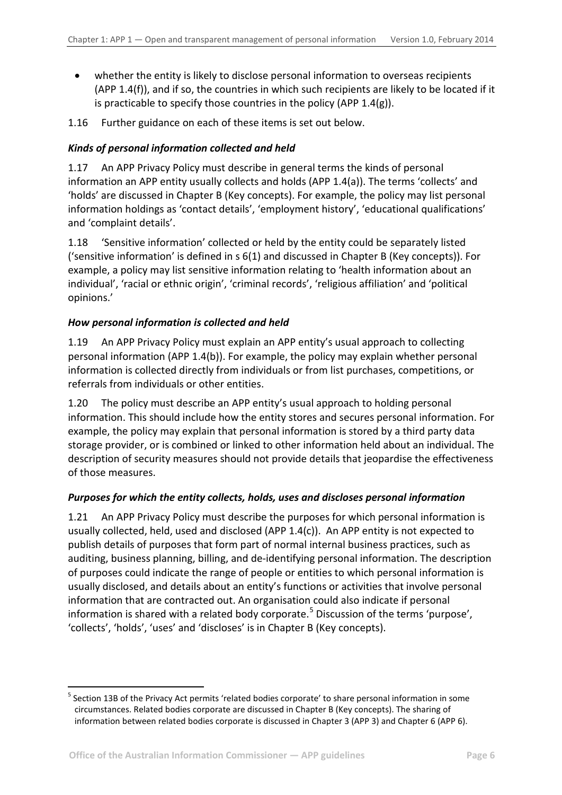- whether the entity is likely to disclose personal information to overseas recipients (APP 1.4(f)), and if so, the countries in which such recipients are likely to be located if it is practicable to specify those countries in the policy (APP  $1.4(g)$ ).
- 1.16 Further guidance on each of these items is set out below.

#### <span id="page-5-0"></span>*Kinds of personal information collected and held*

1.17 An APP Privacy Policy must describe in general terms the kinds of personal information an APP entity usually collects and holds (APP 1.4(a)). The terms 'collects' and 'holds' are discussed in Chapter B (Key concepts). For example, the policy may list personal information holdings as 'contact details', 'employment history', 'educational qualifications' and 'complaint details'.

1.18 'Sensitive information' collected or held by the entity could be separately listed ('sensitive information' is defined in s 6(1) and discussed in Chapter B (Key concepts)). For example, a policy may list sensitive information relating to 'health information about an individual', 'racial or ethnic origin', 'criminal records', 'religious affiliation' and 'political opinions.'

#### <span id="page-5-1"></span>*How personal information is collected and held*

1.19 An APP Privacy Policy must explain an APP entity's usual approach to collecting personal information (APP 1.4(b)). For example, the policy may explain whether personal information is collected directly from individuals or from list purchases, competitions, or referrals from individuals or other entities.

1.20 The policy must describe an APP entity's usual approach to holding personal information. This should include how the entity stores and secures personal information. For example, the policy may explain that personal information is stored by a third party data storage provider, or is combined or linked to other information held about an individual. The description of security measures should not provide details that jeopardise the effectiveness of those measures.

#### <span id="page-5-2"></span>*Purposes for which the entity collects, holds, uses and discloses personal information*

1.21 An APP Privacy Policy must describe the purposes for which personal information is usually collected, held, used and disclosed (APP 1.4(c)). An APP entity is not expected to publish details of purposes that form part of normal internal business practices, such as auditing, business planning, billing, and de-identifying personal information. The description of purposes could indicate the range of people or entities to which personal information is usually disclosed, and details about an entity's functions or activities that involve personal information that are contracted out. An organisation could also indicate if personal information is shared with a related body corporate.<sup>[5](#page-4-1)</sup> Discussion of the terms 'purpose', 'collects', 'holds', 'uses' and 'discloses' is in Chapter B (Key concepts).

<span id="page-5-3"></span>-

<sup>5</sup> Section 13B of the Privacy Act permits 'related bodies corporate' to share personal information in some circumstances. Related bodies corporate are discussed in Chapter B (Key concepts). The sharing of information between related bodies corporate is discussed in Chapter 3 (APP 3) and Chapter 6 (APP 6).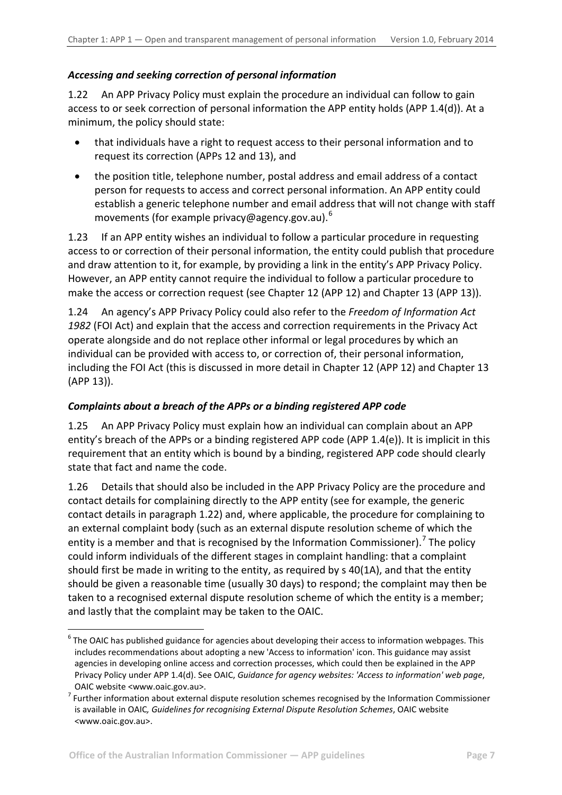#### <span id="page-6-0"></span>*Accessing and seeking correction of personal information*

<span id="page-6-2"></span>1.22 An APP Privacy Policy must explain the procedure an individual can follow to gain access to or seek correction of personal information the APP entity holds (APP 1.4(d)). At a minimum, the policy should state:

- that individuals have a right to request access to their personal information and to request its correction (APPs 12 and 13), and
- the position title, telephone number, postal address and email address of a contact person for requests to access and correct personal information. An APP entity could establish a generic telephone number and email address that will not change with staff movements (for example privacy@agency.gov.au).<sup>[6](#page-5-3)</sup>

1.23 If an APP entity wishes an individual to follow a particular procedure in requesting access to or correction of their personal information, the entity could publish that procedure and draw attention to it, for example, by providing a link in the entity's APP Privacy Policy. However, an APP entity cannot require the individual to follow a particular procedure to make the access or correction request (see Chapter 12 (APP 12) and Chapter 13 (APP 13)).

1.24 An agency's APP Privacy Policy could also refer to the *Freedom of Information Act 1982* (FOI Act) and explain that the access and correction requirements in the Privacy Act operate alongside and do not replace other informal or legal procedures by which an individual can be provided with access to, or correction of, their personal information, including the FOI Act (this is discussed in more detail in Chapter 12 (APP 12) and Chapter 13 (APP 13)).

#### <span id="page-6-1"></span>*Complaints about a breach of the APPs or a binding registered APP code*

1.25 An APP Privacy Policy must explain how an individual can complain about an APP entity's breach of the APPs or a binding registered APP code (APP 1.4(e)). It is implicit in this requirement that an entity which is bound by a binding, registered APP code should clearly state that fact and name the code.

1.26 Details that should also be included in the APP Privacy Policy are the procedure and contact details for complaining directly to the APP entity (see for example, the generic contact details in paragraph [1.22\)](#page-6-2) and, where applicable, the procedure for complaining to an external complaint body (such as an external dispute resolution scheme of which the entity is a member and that is recognised by the Information Commissioner).<sup>[7](#page-6-3)</sup> The policy could inform individuals of the different stages in complaint handling: that a complaint should first be made in writing to the entity, as required by s 40(1A), and that the entity should be given a reasonable time (usually 30 days) to respond; the complaint may then be taken to a recognised external dispute resolution scheme of which the entity is a member; and lastly that the complaint may be taken to the OAIC.

-

 $6$  The OAIC has published guidance for agencies about developing their access to information webpages. This includes recommendations about adopting a new 'Access to information' icon. This guidance may assist agencies in developing online access and correction processes, which could then be explained in the APP Privacy Policy under APP 1.4(d). See OAIC, *Guidance for agency websites: 'Access to information' web page*, OAIC website <www.oaic.gov.au>.

<span id="page-6-4"></span><span id="page-6-3"></span> $<sup>7</sup>$  Further information about external dispute resolution schemes recognised by the Information Commissioner</sup> is available in OAIC*, Guidelines for recognising External Dispute Resolution Schemes*, OAIC website <www.oaic.gov.au>.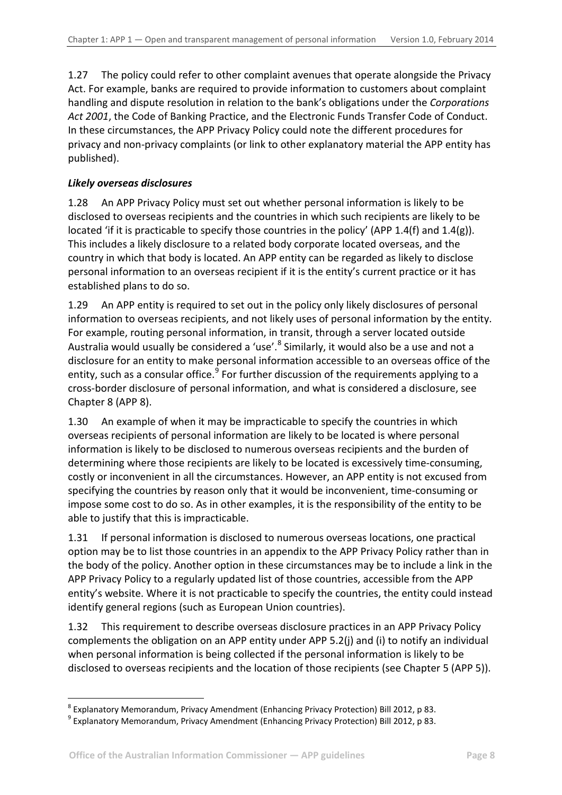1.27 The policy could refer to other complaint avenues that operate alongside the Privacy Act. For example, banks are required to provide information to customers about complaint handling and dispute resolution in relation to the bank's obligations under the *Corporations Act 2001*, the Code of Banking Practice, and the Electronic Funds Transfer Code of Conduct. In these circumstances, the APP Privacy Policy could note the different procedures for privacy and non-privacy complaints (or link to other explanatory material the APP entity has published).

#### <span id="page-7-0"></span>*Likely overseas disclosures*

1.28 An APP Privacy Policy must set out whether personal information is likely to be disclosed to overseas recipients and the countries in which such recipients are likely to be located 'if it is practicable to specify those countries in the policy' (APP 1.4(f) and 1.4(g)). This includes a likely disclosure to a related body corporate located overseas, and the country in which that body is located. An APP entity can be regarded as likely to disclose personal information to an overseas recipient if it is the entity's current practice or it has established plans to do so.

1.29 An APP entity is required to set out in the policy only likely disclosures of personal information to overseas recipients, and not likely uses of personal information by the entity. For example, routing personal information, in transit, through a server located outside Australia would usually be considered a 'use'.<sup>[8](#page-6-4)</sup> Similarly, it would also be a use and not a disclosure for an entity to make personal information accessible to an overseas office of the entity, such as a consular office.<sup>[9](#page-7-1)</sup> For further discussion of the requirements applying to a cross-border disclosure of personal information, and what is considered a disclosure, see Chapter 8 (APP 8).

1.30 An example of when it may be impracticable to specify the countries in which overseas recipients of personal information are likely to be located is where personal information is likely to be disclosed to numerous overseas recipients and the burden of determining where those recipients are likely to be located is excessively time-consuming, costly or inconvenient in all the circumstances. However, an APP entity is not excused from specifying the countries by reason only that it would be inconvenient, time-consuming or impose some cost to do so. As in other examples, it is the responsibility of the entity to be able to justify that this is impracticable.

1.31 If personal information is disclosed to numerous overseas locations, one practical option may be to list those countries in an appendix to the APP Privacy Policy rather than in the body of the policy. Another option in these circumstances may be to include a link in the APP Privacy Policy to a regularly updated list of those countries, accessible from the APP entity's website. Where it is not practicable to specify the countries, the entity could instead identify general regions (such as European Union countries).

1.32 This requirement to describe overseas disclosure practices in an APP Privacy Policy complements the obligation on an APP entity under APP 5.2(j) and (i) to notify an individual when personal information is being collected if the personal information is likely to be disclosed to overseas recipients and the location of those recipients (see Chapter 5 (APP 5)).

1

<span id="page-7-2"></span><sup>&</sup>lt;sup>8</sup> Explanatory Memorandum, Privacy Amendment (Enhancing Privacy Protection) Bill 2012, p 83. 9 Explanatory Memorandum, Privacy Amendment (Enhancing Privacy Protection) Bill 2012, p 83.

<span id="page-7-1"></span>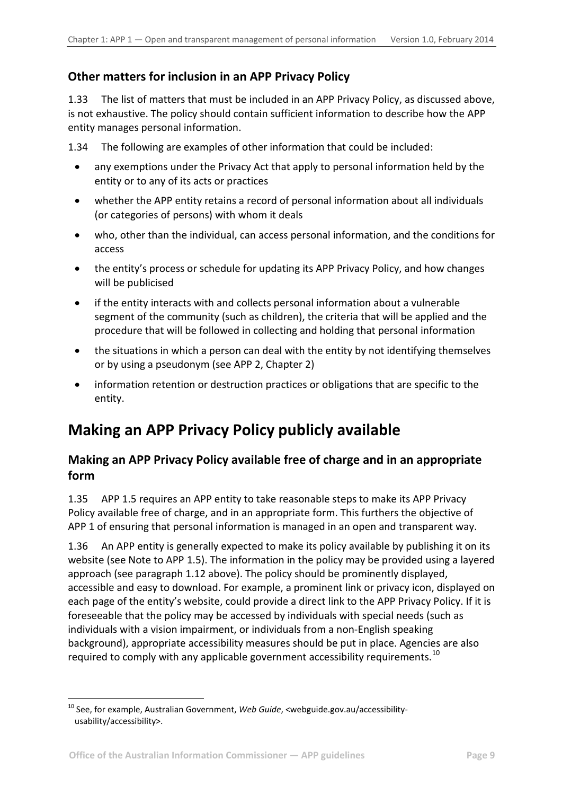### <span id="page-8-0"></span>**Other matters for inclusion in an APP Privacy Policy**

1.33 The list of matters that must be included in an APP Privacy Policy, as discussed above, is not exhaustive. The policy should contain sufficient information to describe how the APP entity manages personal information.

1.34 The following are examples of other information that could be included:

- any exemptions under the Privacy Act that apply to personal information held by the entity or to any of its acts or practices
- whether the APP entity retains a record of personal information about all individuals (or categories of persons) with whom it deals
- who, other than the individual, can access personal information, and the conditions for access
- the entity's process or schedule for updating its APP Privacy Policy, and how changes will be publicised
- if the entity interacts with and collects personal information about a vulnerable segment of the community (such as children), the criteria that will be applied and the procedure that will be followed in collecting and holding that personal information
- the situations in which a person can deal with the entity by not identifying themselves or by using a pseudonym (see APP 2, Chapter 2)
- information retention or destruction practices or obligations that are specific to the entity.

# <span id="page-8-1"></span>**Making an APP Privacy Policy publicly available**

### <span id="page-8-2"></span>**Making an APP Privacy Policy available free of charge and in an appropriate form**

1.35 APP 1.5 requires an APP entity to take reasonable steps to make its APP Privacy Policy available free of charge, and in an appropriate form. This furthers the objective of APP 1 of ensuring that personal information is managed in an open and transparent way.

<span id="page-8-3"></span>1.36 An APP entity is generally expected to make its policy available by publishing it on its website (see Note to APP 1.5). The information in the policy may be provided using a layered approach (see paragraph [1.12](#page-4-2) above). The policy should be prominently displayed, accessible and easy to download. For example, a prominent link or privacy icon, displayed on each page of the entity's website, could provide a direct link to the APP Privacy Policy. If it is foreseeable that the policy may be accessed by individuals with special needs (such as individuals with a vision impairment, or individuals from a non-English speaking background), appropriate accessibility measures should be put in place. Agencies are also required to comply with any applicable government accessibility requirements.<sup>[10](#page-7-2)</sup>

<span id="page-8-4"></span>1

<sup>&</sup>lt;sup>10</sup> See, for example, Australian Government, *Web Guide*, <webguide.gov.au/accessibilityusability/accessibility>.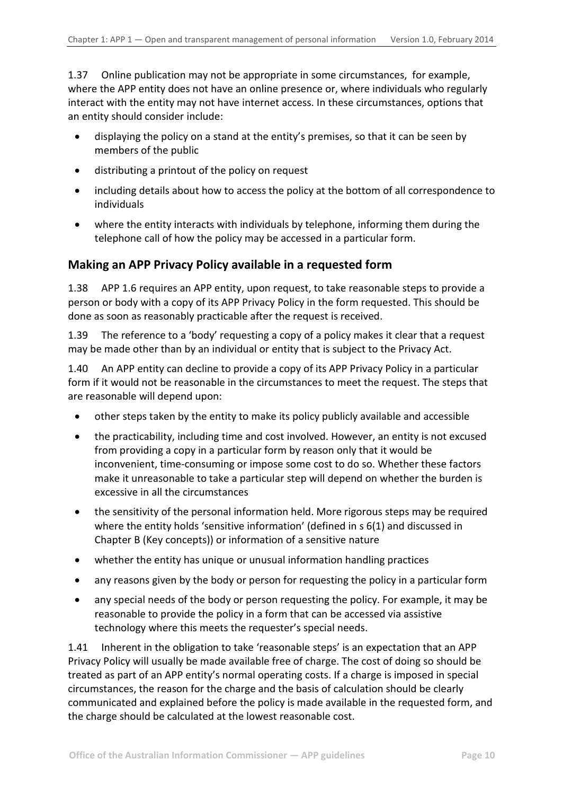1.37 Online publication may not be appropriate in some circumstances, for example, where the APP entity does not have an online presence or, where individuals who regularly interact with the entity may not have internet access. In these circumstances, options that an entity should consider include:

- displaying the policy on a stand at the entity's premises, so that it can be seen by members of the public
- distributing a printout of the policy on request
- including details about how to access the policy at the bottom of all correspondence to individuals
- where the entity interacts with individuals by telephone, informing them during the telephone call of how the policy may be accessed in a particular form.

#### <span id="page-9-0"></span>**Making an APP Privacy Policy available in a requested form**

1.38 APP 1.6 requires an APP entity, upon request, to take reasonable steps to provide a person or body with a copy of its APP Privacy Policy in the form requested. This should be done as soon as reasonably practicable after the request is received.

1.39 The reference to a 'body' requesting a copy of a policy makes it clear that a request may be made other than by an individual or entity that is subject to the Privacy Act.

1.40 An APP entity can decline to provide a copy of its APP Privacy Policy in a particular form if it would not be reasonable in the circumstances to meet the request. The steps that are reasonable will depend upon:

- other steps taken by the entity to make its policy publicly available and accessible
- the practicability, including time and cost involved. However, an entity is not excused from providing a copy in a particular form by reason only that it would be inconvenient, time-consuming or impose some cost to do so. Whether these factors make it unreasonable to take a particular step will depend on whether the burden is excessive in all the circumstances
- the sensitivity of the personal information held. More rigorous steps may be required where the entity holds 'sensitive information' (defined in s 6(1) and discussed in Chapter B (Key concepts)) or information of a sensitive nature
- whether the entity has unique or unusual information handling practices
- any reasons given by the body or person for requesting the policy in a particular form
- any special needs of the body or person requesting the policy. For example, it may be reasonable to provide the policy in a form that can be accessed via assistive technology where this meets the requester's special needs.

1.41 Inherent in the obligation to take 'reasonable steps' is an expectation that an APP Privacy Policy will usually be made available free of charge. The cost of doing so should be treated as part of an APP entity's normal operating costs. If a charge is imposed in special circumstances, the reason for the charge and the basis of calculation should be clearly communicated and explained before the policy is made available in the requested form, and the charge should be calculated at the lowest reasonable cost.